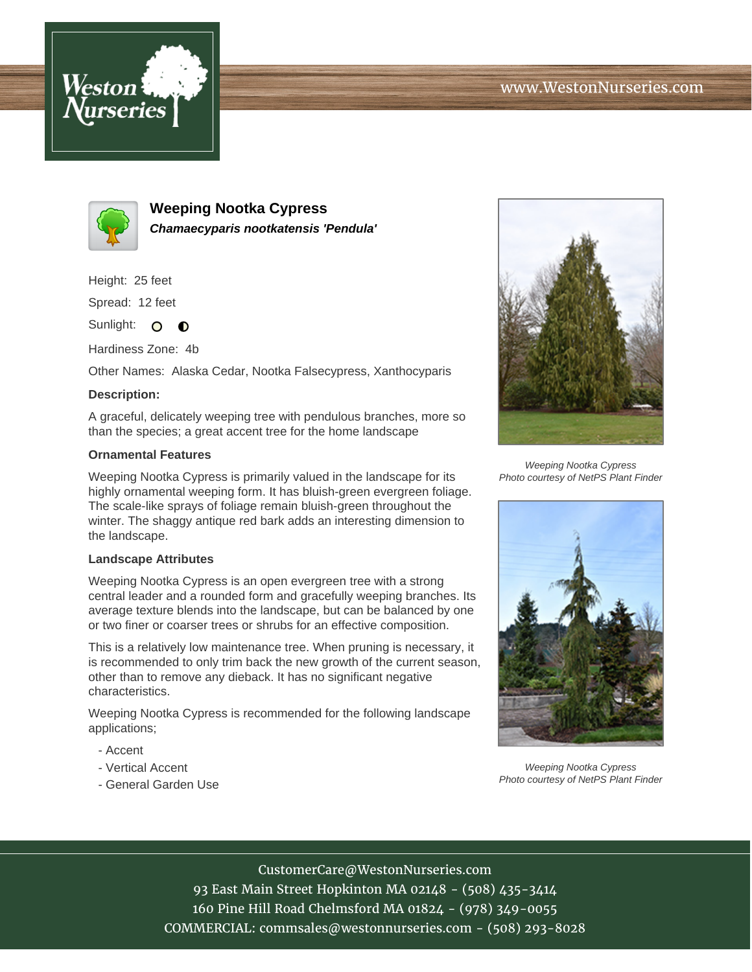



**Weeping Nootka Cypress Chamaecyparis nootkatensis 'Pendula'**

Height: 25 feet

Spread: 12 feet

Sunlight: O  $\bullet$ 

Hardiness Zone: 4b

Other Names: Alaska Cedar, Nootka Falsecypress, Xanthocyparis

## **Description:**

A graceful, delicately weeping tree with pendulous branches, more so than the species; a great accent tree for the home landscape

## **Ornamental Features**

Weeping Nootka Cypress is primarily valued in the landscape for its highly ornamental weeping form. It has bluish-green evergreen foliage. The scale-like sprays of foliage remain bluish-green throughout the winter. The shaggy antique red bark adds an interesting dimension to the landscape.

## **Landscape Attributes**

Weeping Nootka Cypress is an open evergreen tree with a strong central leader and a rounded form and gracefully weeping branches. Its average texture blends into the landscape, but can be balanced by one or two finer or coarser trees or shrubs for an effective composition.

This is a relatively low maintenance tree. When pruning is necessary, it is recommended to only trim back the new growth of the current season, other than to remove any dieback. It has no significant negative characteristics.

Weeping Nootka Cypress is recommended for the following landscape applications;

- Accent
- Vertical Accent
- General Garden Use



Weeping Nootka Cypress Photo courtesy of NetPS Plant Finder



Weeping Nootka Cypress Photo courtesy of NetPS Plant Finder

CustomerCare@WestonNurseries.com

93 East Main Street Hopkinton MA 02148 - (508) 435-3414 160 Pine Hill Road Chelmsford MA 01824 - (978) 349-0055 COMMERCIAL: commsales@westonnurseries.com - (508) 293-8028